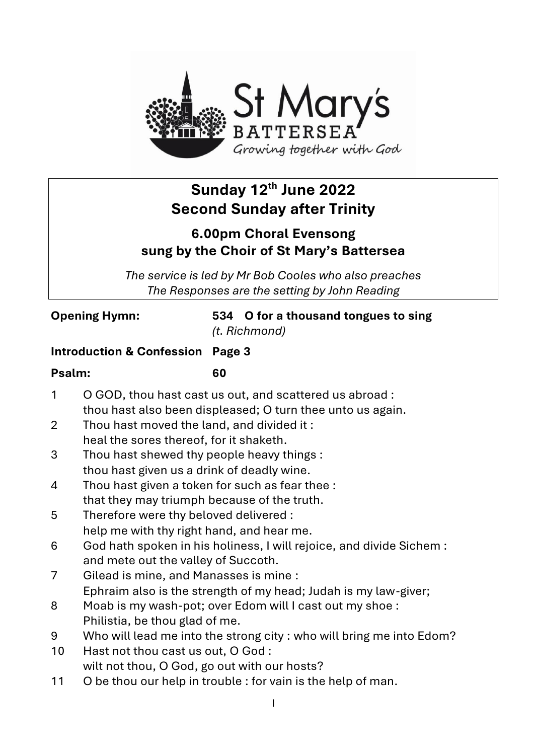

# **Sunday 12th June 2022 Second Sunday after Trinity**

# **6.00pm Choral Evensong sung by the Choir of St Mary's Battersea**

*The service is led by Mr Bob Cooles who also preaches The Responses are the setting by John Reading*

**Opening Hymn: 534 O for a thousand tongues to sing** *(t. Richmond)*

#### **Introduction & Confession Page 3**

#### **Psalm: 60**

- 1 O GOD, thou hast cast us out, and scattered us abroad : thou hast also been displeased; O turn thee unto us again.
	- 2 Thou hast moved the land, and divided it : heal the sores thereof, for it shaketh.
	- 3 Thou hast shewed thy people heavy things : thou hast given us a drink of deadly wine.
	- 4 Thou hast given a token for such as fear thee : that they may triumph because of the truth.
	- 5 Therefore were thy beloved delivered : help me with thy right hand, and hear me.
	- 6 God hath spoken in his holiness, I will rejoice, and divide Sichem : and mete out the valley of Succoth.
	- 7 Gilead is mine, and Manasses is mine : Ephraim also is the strength of my head; Judah is my law-giver;
	- 8 Moab is my wash-pot; over Edom will I cast out my shoe : Philistia, be thou glad of me.
	- 9 Who will lead me into the strong city : who will bring me into Edom?
	- 10 Hast not thou cast us out, O God : wilt not thou, O God, go out with our hosts?
	- 11 O be thou our help in trouble : for vain is the help of man.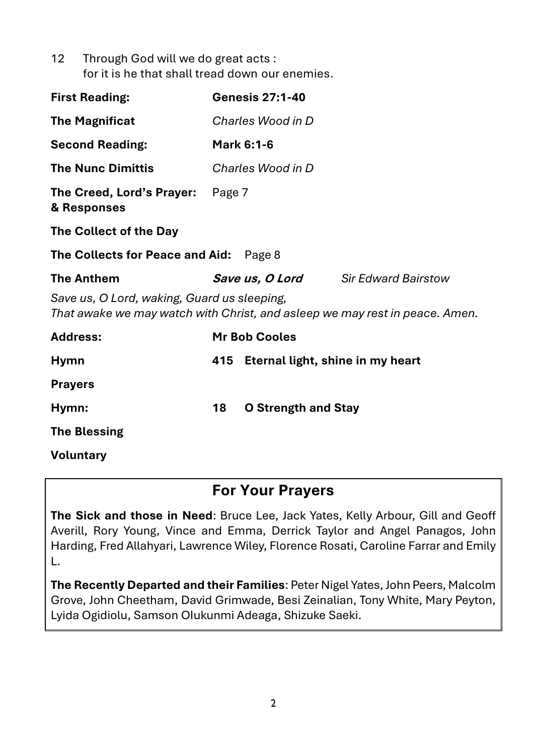| 12 <sup>12</sup> | Through God will we do great acts :             |
|------------------|-------------------------------------------------|
|                  | for it is he that shall tread down our enemies. |

| <b>First Reading:</b>                                                                                                      |     | <b>Genesis 27:1-40</b>           |                                            |  |  |
|----------------------------------------------------------------------------------------------------------------------------|-----|----------------------------------|--------------------------------------------|--|--|
| <b>The Magnificat</b>                                                                                                      |     | Charles Wood in D                |                                            |  |  |
| <b>Second Reading:</b>                                                                                                     |     | <b>Mark 6:1-6</b>                |                                            |  |  |
| <b>The Nunc Dimittis</b>                                                                                                   |     | Charles Wood in D                |                                            |  |  |
| The Creed, Lord's Prayer: Page 7<br>& Responses                                                                            |     |                                  |                                            |  |  |
| The Collect of the Day                                                                                                     |     |                                  |                                            |  |  |
| The Collects for Peace and Aid:<br>Page 8                                                                                  |     |                                  |                                            |  |  |
| <b>The Anthem</b>                                                                                                          |     |                                  | <b>Save us, O Lord</b> Sir Edward Bairstow |  |  |
| Save us, O Lord, waking, Guard us sleeping,<br>That awake we may watch with Christ, and asleep we may rest in peace. Amen. |     |                                  |                                            |  |  |
| <b>Address:</b>                                                                                                            |     | <b>Mr Bob Cooles</b>             |                                            |  |  |
| <b>Hymn</b>                                                                                                                | 415 | Eternal light, shine in my heart |                                            |  |  |
| <b>Prayers</b>                                                                                                             |     |                                  |                                            |  |  |
| Hymn:                                                                                                                      | 18  | <b>O Strength and Stay</b>       |                                            |  |  |

**The Blessing**

**Voluntary**

# **For Your Prayers**

**The Sick and those in Need**: Bruce Lee, Jack Yates, Kelly Arbour, Gill and Geoff Averill, Rory Young, Vince and Emma, Derrick Taylor and Angel Panagos, John Harding, Fred Allahyari, Lawrence Wiley, Florence Rosati, Caroline Farrar and Emily L.

**The Recently Departed and their Families**: Peter Nigel Yates, John Peers, Malcolm Grove, John Cheetham, David Grimwade, Besi Zeinalian, Tony White, Mary Peyton, Lyida Ogidiolu, Samson OIukunmi Adeaga, Shizuke Saeki.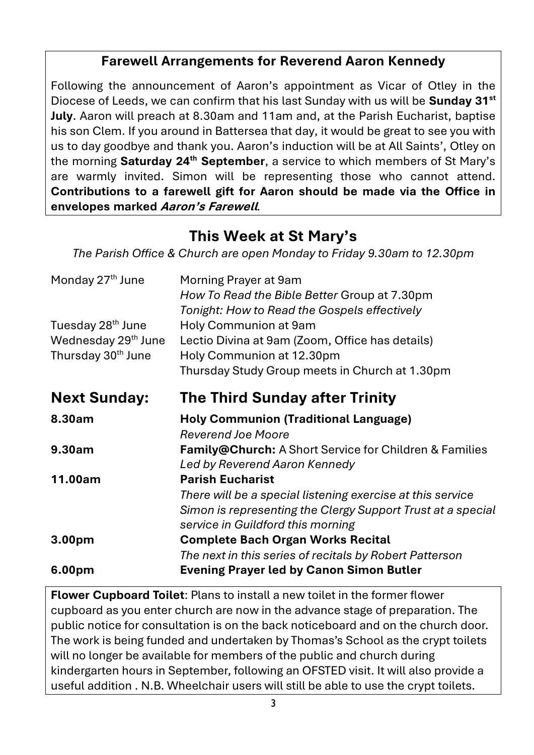## **Farewell Arrangements for Reverend Aaron Kennedy**

Following the announcement of Aaron's appointment as Vicar of Otley in the Diocese of Leeds, we can confirm that his last Sunday with us will be **Sunday 31st July**. Aaron will preach at 8.30am and 11am and, at the Parish Eucharist, baptise his son Clem. If you around in Battersea that day, it would be great to see you with us to day goodbye and thank you. Aaron's induction will be at All Saints', Otley on the morning **Saturday 24th September**, a service to which members of St Mary's are warmly invited. Simon will be representing those who cannot attend. **Contributions to a farewell gift for Aaron should be made via the Office in envelopes marked Aaron's Farewell***.*

# **This Week at St Mary's**

*The Parish Office & Church are open Monday to Friday 9.30am to 12.30pm*

| Monday 27 <sup>th</sup> June    | Morning Prayer at 9am<br>How To Read the Bible Better Group at 7.30pm<br>Tonight: How to Read the Gospels effectively |
|---------------------------------|-----------------------------------------------------------------------------------------------------------------------|
| Tuesday 28 <sup>th</sup> June   | Holy Communion at 9am                                                                                                 |
| Wednesday 29 <sup>th</sup> June | Lectio Divina at 9am (Zoom, Office has details)                                                                       |
| Thursday 30 <sup>th</sup> June  | Holy Communion at 12.30pm<br>Thursday Study Group meets in Church at 1.30pm                                           |
| <b>Next Sunday:</b>             | <b>The Third Sunday after Trinity</b>                                                                                 |
| 8.30am                          | <b>Holy Communion (Traditional Language)</b>                                                                          |
|                                 | <b>Reverend Joe Moore</b>                                                                                             |
| 9.30am                          | Family@Church: A Short Service for Children & Families<br>Led by Reverend Aaron Kennedy                               |
| 11.00am                         | <b>Parish Eucharist</b>                                                                                               |
|                                 | There will be a special listening exercise at this service                                                            |
|                                 | Simon is representing the Clergy Support Trust at a special                                                           |
|                                 | service in Guildford this morning                                                                                     |
| 3.00 <sub>pm</sub>              | <b>Complete Bach Organ Works Recital</b>                                                                              |
|                                 | The next in this series of recitals by Robert Patterson                                                               |
| 6.00pm                          | <b>Evening Prayer led by Canon Simon Butler</b>                                                                       |

**Flower Cupboard Toilet**: Plans to install a new toilet in the former flower cupboard as you enter church are now in the advance stage of preparation. The public notice for consultation is on the back noticeboard and on the church door. The work is being funded and undertaken by Thomas's School as the crypt toilets will no longer be available for members of the public and church during kindergarten hours in September, following an OFSTED visit. It will also provide a useful addition . N.B. Wheelchair users will still be able to use the crypt toilets.